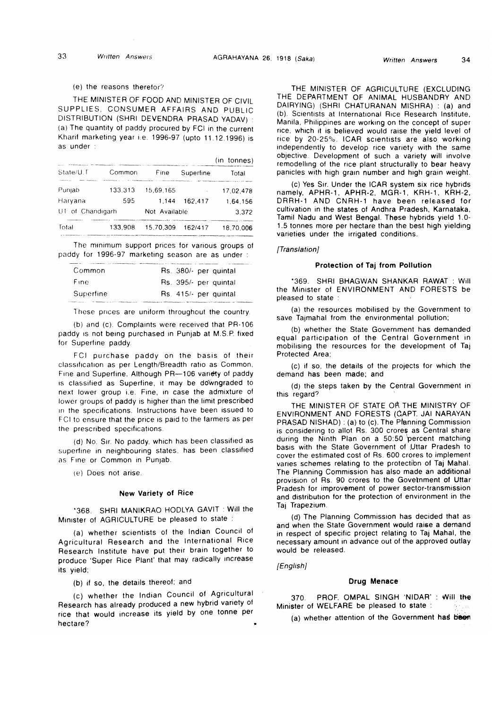## (e) the reasons theretor?

THE MINISTER OF FOOD AND MINISTER OF CIVIL SUPPLIES, CONSUMER AFFAIRS AND PUBLIC DISTRIBUTION (SHRI DEVENDRA PRASAD YADAV) : (a) The quantity of paddy procured by FCI in the current Kharif marketing year i.e. 1996-97 (upto 11.12.1996) is as under .

|                  |         |               |           | $(in$ tonnes) |
|------------------|---------|---------------|-----------|---------------|
| State/U.T        | Common  | Fine          | Superfine | Total         |
| Punjab           | 133.313 | 15,69,165     |           | 17.02.478     |
| Haryana          | 595     | 1.144         | 162.417   | 1.64.156      |
| UT of Chandigarh |         | Not Available |           | 3.372         |
| Total            | 133.908 | 15.70.309     | 162/417   | 18.70.006     |

The minimum support prices for various groups of paddy for 1996-97 marketing season are as under :

| Common      | Rs. 380/- per quintal |
|-------------|-----------------------|
| <b>Fine</b> | Rs. 395/- per quintal |
| Superfine   | Rs. 415/- per quintal |

These prices are uniform throughout the country.

(b) and (c). Complaints were received that PR-106 paddy is not being purchased in Punjab at M.S.P. fixed for Superfine paddy.

FCI purchase paddy on the basis of their classification as per Length/Breadth ratio as Common, Fine and Superfine. Although PR— 106 variety of paddy is classified as Superfine, it may be downgraded to next lower group i.e. Fine, in case the admixture of lower groups of paddy is higher than the limit prescribed in the specifications. Instructions have been issued to FCI to ensure that the price is paid to the farmers as per the prescribed specifications.

(d) No, Sir. No paddy, which has been classified as superfine in neighbouring states, has been classified as Fine or Common in Punjab.

(e) Does not arise.

#### New Variety of Rice

\*368. SHRI MANIKRAO HODLYA GAVIT : Will the Minister of AGRICULTURE be pleased to state :

(a) whether scientists of the Indian Council of Agricultural Research and the International Rice Research Institute have put their brain together to produce 'Super Rice Plant' that may radically increase its yield;

(b) if so, the details thereof; and

(c) whether the Indian Council of Agricultural Research has already produced a new hybrid variety of rice that would increase its yield by one tonne per hectare?

THE MINISTER OF AGRICULTURE (EXCLUDING THE DEPARTMENT OF ANIMAL HUSBANDRY AND DAIRYING) (SHRI CHATURANAN MISHRA) : (a) and (b). Scientists at International Rice Research Institute, Manila, Philippines are working on the concept of super rice, which it is believed would raise the yield level of rice by 20-25%. ICAR scientists are also working independently to develop rice variety with the same objective. Development of such a variety will involve remodelling of the rice plant structurally to bear heavy panicles with high gram number and high grain weight.

(c) Yes Sir. Under the ICAR system six rice hybrids namely, APHR-1, APHR-2, MGR-1, KRH-1, KRH-2, DRRH-1 AND CNRH-1 have been released for cultivation in the states of Andhra Pradesh, Karnataka, Tamil Nadu and West Bengal. These hybrids yield 1.0- 1.5 tonnes more per hectare than the best high yielding varieties under the irrigated conditions.

### *[Translation]*

## Protection of Taj from Pollution

\*369. SHRI BHAGWAN SHANKAR RAWAT : Will the Minister of ENVIRONMENT AND FORESTS be pleased to state :

(a) the resources mobilised by the Government to save Tajmahal from the environmental pollution;

(b) whether the State Government has demanded equal participation of the Central Government in mobilising the resources for the development of Taj Protected Area;

(c) if so, the details of the projects for which the demand has been made; and

(d) the steps taken by the Central Government in this regard?

THE MINISTER OF STATE OR THE MINISTRY OF ENVIRONMENT AND FORESTS (GAPT. JAI NARAYAN PRASAD NISHAD) : (a) to (c).The Planning Commission is considering to allot Rs. 300 crores as Central share during the Ninth Plan on a 50:50 percent matching basis with the State Government of JJttar Pradesh to cover the estimated cost of Rs. 600 crores to implement varies schemes relating to the protectibn of Taj Mahal. The Planning Commission has also made an additional provision of Rs. 90 crores to the Govelnment of Uttar Pradesh for improvement of power sector-transmission and distribution for the protection of environment in the Taj Trape2ium.

(d) The Planning Commission has decided that as and when the State Government would raise a demand in respect of specific project relating to Taj Mahal, the necessary amount in advance out of the approved outlay would be released.

*[English]*

#### Drug Menace

370. PROF. OMPAL SINGH 'NIDAR' : Will the Minister of WELFARE be pleased to state :

(a) whether attention of the Government has been